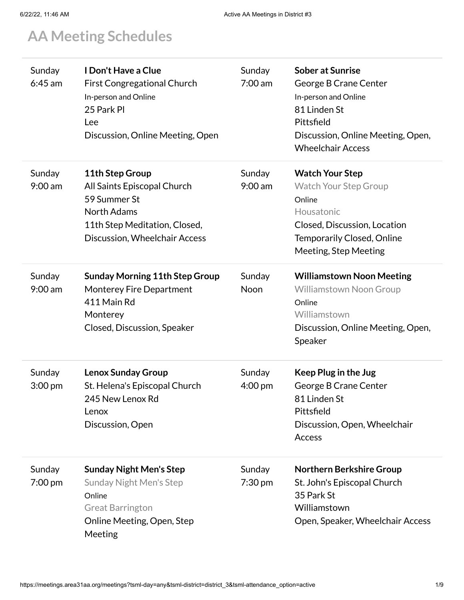## **AA Meeting [Schedules](https://meetings.area31aa.org/)**

| Sunday<br>$6:45$ am         | I Don't Have a Clue<br><b>First Congregational Church</b><br>In-person and Online<br>25 Park Pl<br>Lee<br>Discussion, Online Meeting, Open             | Sunday<br>$7:00 \text{ am}$ | <b>Sober at Sunrise</b><br>George B Crane Center<br>In-person and Online<br>81 Linden St<br>Pittsfield<br>Discussion, Online Meeting, Open,<br><b>Wheelchair Access</b>      |
|-----------------------------|--------------------------------------------------------------------------------------------------------------------------------------------------------|-----------------------------|------------------------------------------------------------------------------------------------------------------------------------------------------------------------------|
| Sunday<br>$9:00$ am         | 11th Step Group<br>All Saints Episcopal Church<br>59 Summer St<br><b>North Adams</b><br>11th Step Meditation, Closed,<br>Discussion, Wheelchair Access | Sunday<br>$9:00$ am         | <b>Watch Your Step</b><br><b>Watch Your Step Group</b><br>Online<br>Housatonic<br>Closed, Discussion, Location<br><b>Temporarily Closed, Online</b><br>Meeting, Step Meeting |
| Sunday<br>9:00 am           | <b>Sunday Morning 11th Step Group</b><br><b>Monterey Fire Department</b><br>411 Main Rd<br>Monterey<br>Closed, Discussion, Speaker                     | Sunday<br>Noon              | <b>Williamstown Noon Meeting</b><br><b>Williamstown Noon Group</b><br>Online<br>Williamstown<br>Discussion, Online Meeting, Open,<br>Speaker                                 |
| Sunday<br>$3:00 \text{ pm}$ | <b>Lenox Sunday Group</b><br>St. Helena's Episcopal Church<br>245 New Lenox Rd<br>Lenox<br>Discussion, Open                                            | Sunday<br>$4:00 \text{ pm}$ | Keep Plug in the Jug<br>George B Crane Center<br>81 Linden St<br>Pittsfield<br>Discussion, Open, Wheelchair<br><b>Access</b>                                                 |
| Sunday<br>$7:00 \text{ pm}$ | <b>Sunday Night Men's Step</b><br><b>Sunday Night Men's Step</b><br>Online<br><b>Great Barrington</b><br>Online Meeting, Open, Step<br>Meeting         | Sunday<br>$7:30 \text{ pm}$ | <b>Northern Berkshire Group</b><br>St. John's Episcopal Church<br>35 Park St<br>Williamstown<br>Open, Speaker, Wheelchair Access                                             |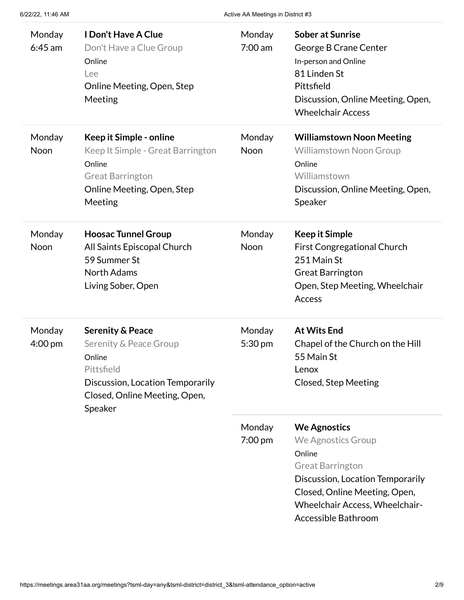| Monday<br>$6:45$ am | <b>I Don't Have A Clue</b><br>Don't Have a Clue Group<br>Online<br>Lee<br>Online Meeting, Open, Step<br>Meeting                                               | Monday<br>7:00 am           | <b>Sober at Sunrise</b><br>George B Crane Center<br>In-person and Online<br>81 Linden St<br>Pittsfield<br>Discussion, Online Meeting, Open,<br><b>Wheelchair Access</b>                                      |
|---------------------|---------------------------------------------------------------------------------------------------------------------------------------------------------------|-----------------------------|--------------------------------------------------------------------------------------------------------------------------------------------------------------------------------------------------------------|
| Monday<br>Noon      | Keep it Simple - online<br>Keep It Simple - Great Barrington<br>Online<br><b>Great Barrington</b><br>Online Meeting, Open, Step<br>Meeting                    | Monday<br>Noon              | <b>Williamstown Noon Meeting</b><br><b>Williamstown Noon Group</b><br>Online<br>Williamstown<br>Discussion, Online Meeting, Open,<br>Speaker                                                                 |
| Monday<br>Noon      | <b>Hoosac Tunnel Group</b><br>All Saints Episcopal Church<br>59 Summer St<br><b>North Adams</b><br>Living Sober, Open                                         | Monday<br><b>Noon</b>       | <b>Keep it Simple</b><br><b>First Congregational Church</b><br>251 Main St<br><b>Great Barrington</b><br>Open, Step Meeting, Wheelchair<br>Access                                                            |
| Monday<br>4:00 pm   | <b>Serenity &amp; Peace</b><br>Serenity & Peace Group<br>Online<br>Pittsfield<br>Discussion, Location Temporarily<br>Closed, Online Meeting, Open,<br>Speaker | <b>Monday</b><br>5:30 pm    | <b>At Wits End</b><br>Chapel of the Church on the Hill<br>55 Main St<br>Lenox<br>Closed, Step Meeting                                                                                                        |
|                     |                                                                                                                                                               | Monday<br>$7:00 \text{ pm}$ | <b>We Agnostics</b><br>We Agnostics Group<br>Online<br><b>Great Barrington</b><br>Discussion, Location Temporarily<br>Closed, Online Meeting, Open,<br>Wheelchair Access, Wheelchair-<br>Accessible Bathroom |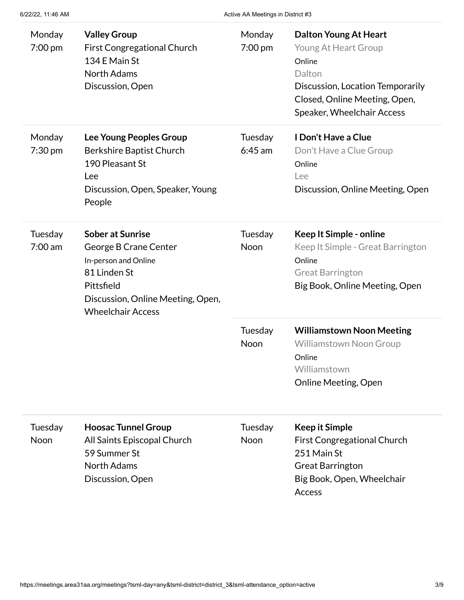| Monday<br>7:00 pm            | <b>Valley Group</b><br><b>First Congregational Church</b><br>134 E Main St<br><b>North Adams</b><br>Discussion, Open                                                    | Monday<br>7:00 pm    | <b>Dalton Young At Heart</b><br>Young At Heart Group<br>Online<br>Dalton<br>Discussion, Location Temporarily<br>Closed, Online Meeting, Open,<br>Speaker, Wheelchair Access |
|------------------------------|-------------------------------------------------------------------------------------------------------------------------------------------------------------------------|----------------------|-----------------------------------------------------------------------------------------------------------------------------------------------------------------------------|
| Monday<br>$7:30$ pm          | Lee Young Peoples Group<br><b>Berkshire Baptist Church</b><br>190 Pleasant St<br>Lee<br>Discussion, Open, Speaker, Young<br>People                                      | Tuesday<br>$6:45$ am | I Don't Have a Clue<br>Don't Have a Clue Group<br>Online<br>Lee<br>Discussion, Online Meeting, Open                                                                         |
| Tuesday<br>$7:00 \text{ am}$ | <b>Sober at Sunrise</b><br>George B Crane Center<br>In-person and Online<br>81 Linden St<br>Pittsfield<br>Discussion, Online Meeting, Open,<br><b>Wheelchair Access</b> | Tuesday<br>Noon      | Keep It Simple - online<br>Keep It Simple - Great Barrington<br>Online<br><b>Great Barrington</b><br>Big Book, Online Meeting, Open                                         |
|                              |                                                                                                                                                                         | Tuesday<br>Noon      | <b>Williamstown Noon Meeting</b><br><b>Williamstown Noon Group</b><br>Online<br>Williamstown<br><b>Online Meeting, Open</b>                                                 |
| Tuesday<br><b>Noon</b>       | <b>Hoosac Tunnel Group</b><br>All Saints Episcopal Church<br>59 Summer St<br><b>North Adams</b><br>Discussion, Open                                                     | Tuesday<br>Noon      | <b>Keep it Simple</b><br><b>First Congregational Church</b><br>251 Main St<br><b>Great Barrington</b><br>Big Book, Open, Wheelchair<br>Access                               |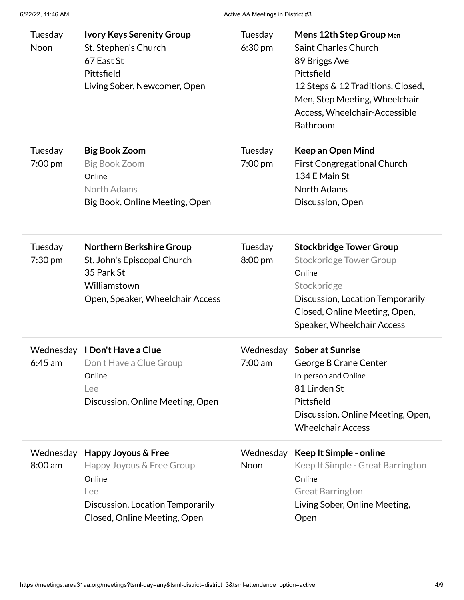| Tuesday<br>Noon        | <b>Ivory Keys Serenity Group</b><br>St. Stephen's Church<br>67 East St<br>Pittsfield<br>Living Sober, Newcomer, Open                            | Tuesday<br>$6:30 \text{ pm}$ | Mens 12th Step Group Men<br>Saint Charles Church<br>89 Briggs Ave<br>Pittsfield<br>12 Steps & 12 Traditions, Closed,<br>Men, Step Meeting, Wheelchair<br>Access, Wheelchair-Accessible<br>Bathroom |
|------------------------|-------------------------------------------------------------------------------------------------------------------------------------------------|------------------------------|----------------------------------------------------------------------------------------------------------------------------------------------------------------------------------------------------|
| Tuesday<br>7:00 pm     | <b>Big Book Zoom</b><br><b>Big Book Zoom</b><br>Online<br>North Adams<br>Big Book, Online Meeting, Open                                         | Tuesday<br>7:00 pm           | <b>Keep an Open Mind</b><br><b>First Congregational Church</b><br>134 E Main St<br><b>North Adams</b><br>Discussion, Open                                                                          |
| Tuesday<br>7:30 pm     | <b>Northern Berkshire Group</b><br>St. John's Episcopal Church<br>35 Park St<br>Williamstown<br>Open, Speaker, Wheelchair Access                | Tuesday<br>8:00 pm           | <b>Stockbridge Tower Group</b><br><b>Stockbridge Tower Group</b><br>Online<br>Stockbridge<br>Discussion, Location Temporarily<br>Closed, Online Meeting, Open,<br>Speaker, Wheelchair Access       |
| Wednesday<br>$6:45$ am | I Don't Have a Clue<br>Don't Have a Clue Group<br>Online<br>Lee<br>Discussion, Online Meeting, Open                                             | 7:00 am                      | Wednesday Sober at Sunrise<br>George B Crane Center<br>In-person and Online<br>81 Linden St<br>Pittsfield<br>Discussion, Online Meeting, Open,<br><b>Wheelchair Access</b>                         |
| $8:00$ am              | Wednesday Happy Joyous & Free<br>Happy Joyous & Free Group<br>Online<br>Lee<br>Discussion, Location Temporarily<br>Closed, Online Meeting, Open | Wednesday<br>Noon            | Keep It Simple - online<br>Keep It Simple - Great Barrington<br>Online<br><b>Great Barrington</b><br>Living Sober, Online Meeting,<br>Open                                                         |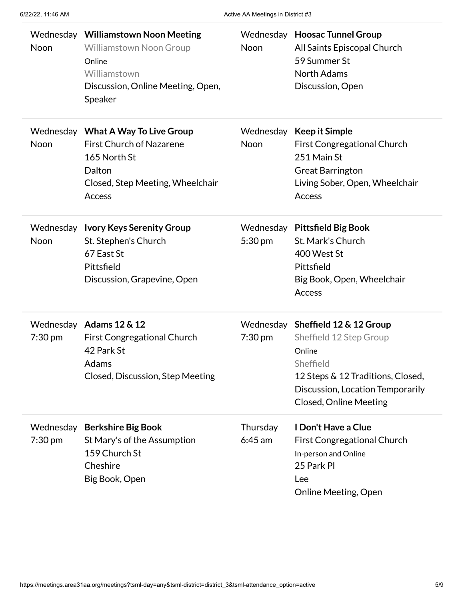| Noon                           | Wednesday Williamstown Noon Meeting<br><b>Williamstown Noon Group</b><br>Online<br>Williamstown<br>Discussion, Online Meeting, Open,<br>Speaker | Noon                  | Wednesday Hoosac Tunnel Group<br>All Saints Episcopal Church<br>59 Summer St<br><b>North Adams</b><br>Discussion, Open                                                                        |
|--------------------------------|-------------------------------------------------------------------------------------------------------------------------------------------------|-----------------------|-----------------------------------------------------------------------------------------------------------------------------------------------------------------------------------------------|
| Noon                           | Wednesday What A Way To Live Group<br><b>First Church of Nazarene</b><br>165 North St<br>Dalton<br>Closed, Step Meeting, Wheelchair<br>Access   | <b>Noon</b>           | Wednesday Keep it Simple<br><b>First Congregational Church</b><br>251 Main St<br><b>Great Barrington</b><br>Living Sober, Open, Wheelchair<br>Access                                          |
| Wednesday<br>Noon              | <b>Ivory Keys Serenity Group</b><br>St. Stephen's Church<br>67 East St<br>Pittsfield<br>Discussion, Grapevine, Open                             | 5:30 pm               | Wednesday Pittsfield Big Book<br>St. Mark's Church<br>400 West St<br>Pittsfield<br>Big Book, Open, Wheelchair<br>Access                                                                       |
| $7:30 \text{ pm}$              | Wednesday Adams 12 & 12<br><b>First Congregational Church</b><br>42 Park St<br>Adams<br>Closed, Discussion, Step Meeting                        | 7:30 pm               | Wednesday Sheffield 12 & 12 Group<br>Sheffield 12 Step Group<br>Online<br>Sheffield<br>12 Steps & 12 Traditions, Closed,<br>Discussion, Location Temporarily<br><b>Closed, Online Meeting</b> |
| Wednesday<br>$7:30 \text{ pm}$ | <b>Berkshire Big Book</b><br>St Mary's of the Assumption<br>159 Church St<br>Cheshire<br>Big Book, Open                                         | Thursday<br>$6:45$ am | I Don't Have a Clue<br><b>First Congregational Church</b><br>In-person and Online<br>25 Park Pl<br>Lee<br>Online Meeting, Open                                                                |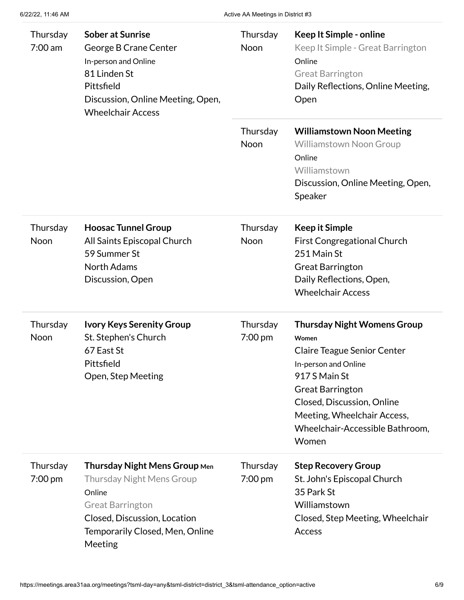| Thursday<br>$7:00$ am | <b>Sober at Sunrise</b><br>George B Crane Center<br>In-person and Online<br>81 Linden St<br>Pittsfield<br>Discussion, Online Meeting, Open,<br><b>Wheelchair Access</b>                     | Thursday<br>Noon    | Keep It Simple - online<br>Keep It Simple - Great Barrington<br>Online<br><b>Great Barrington</b><br>Daily Reflections, Online Meeting,<br>Open                                                                                                                |
|-----------------------|---------------------------------------------------------------------------------------------------------------------------------------------------------------------------------------------|---------------------|----------------------------------------------------------------------------------------------------------------------------------------------------------------------------------------------------------------------------------------------------------------|
|                       |                                                                                                                                                                                             | Thursday<br>Noon    | <b>Williamstown Noon Meeting</b><br><b>Williamstown Noon Group</b><br>Online<br>Williamstown<br>Discussion, Online Meeting, Open,<br>Speaker                                                                                                                   |
| Thursday<br>Noon      | <b>Hoosac Tunnel Group</b><br>All Saints Episcopal Church<br>59 Summer St<br><b>North Adams</b><br>Discussion, Open                                                                         | Thursday<br>Noon    | <b>Keep it Simple</b><br><b>First Congregational Church</b><br>251 Main St<br><b>Great Barrington</b><br>Daily Reflections, Open,<br><b>Wheelchair Access</b>                                                                                                  |
| Thursday<br>Noon      | <b>Ivory Keys Serenity Group</b><br>St. Stephen's Church<br>67 East St<br>Pittsfield<br>Open, Step Meeting                                                                                  | Thursday<br>7:00 pm | <b>Thursday Night Womens Group</b><br>Women<br><b>Claire Teague Senior Center</b><br>In-person and Online<br>917 S Main St<br><b>Great Barrington</b><br>Closed, Discussion, Online<br>Meeting, Wheelchair Access,<br>Wheelchair-Accessible Bathroom,<br>Women |
| Thursday<br>7:00 pm   | <b>Thursday Night Mens Group Men</b><br><b>Thursday Night Mens Group</b><br>Online<br><b>Great Barrington</b><br>Closed, Discussion, Location<br>Temporarily Closed, Men, Online<br>Meeting | Thursday<br>7:00 pm | <b>Step Recovery Group</b><br>St. John's Episcopal Church<br>35 Park St<br>Williamstown<br>Closed, Step Meeting, Wheelchair<br>Access                                                                                                                          |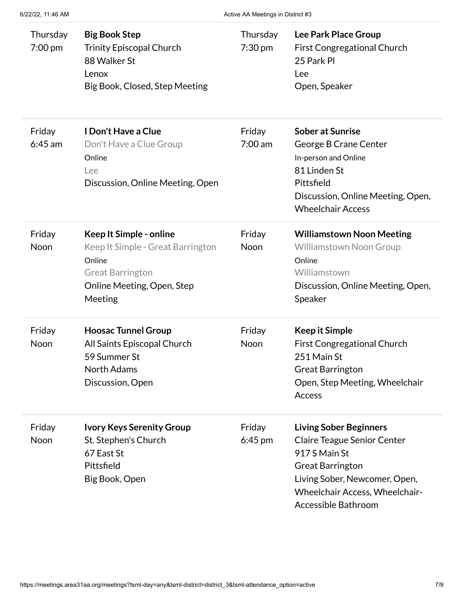| Thursday<br>$7:00$ pm | <b>Big Book Step</b><br><b>Trinity Episcopal Church</b><br>88 Walker St<br>Lenox<br>Big Book, Closed, Step Meeting                         | Thursday<br>$7:30 \text{ pm}$ | Lee Park Place Group<br><b>First Congregational Church</b><br>25 Park PI<br>Lee<br>Open, Speaker                                                                                                          |
|-----------------------|--------------------------------------------------------------------------------------------------------------------------------------------|-------------------------------|-----------------------------------------------------------------------------------------------------------------------------------------------------------------------------------------------------------|
| Friday<br>$6:45$ am   | I Don't Have a Clue<br>Don't Have a Clue Group<br>Online<br>Lee<br>Discussion, Online Meeting, Open                                        | Friday<br>$7:00 \text{ am}$   | <b>Sober at Sunrise</b><br>George B Crane Center<br>In-person and Online<br>81 Linden St<br>Pittsfield<br>Discussion, Online Meeting, Open,<br><b>Wheelchair Access</b>                                   |
| Friday<br><b>Noon</b> | Keep It Simple - online<br>Keep It Simple - Great Barrington<br>Online<br><b>Great Barrington</b><br>Online Meeting, Open, Step<br>Meeting | Friday<br>Noon                | <b>Williamstown Noon Meeting</b><br><b>Williamstown Noon Group</b><br>Online<br>Williamstown<br>Discussion, Online Meeting, Open,<br>Speaker                                                              |
| Friday<br><b>Noon</b> | <b>Hoosac Tunnel Group</b><br>All Saints Episcopal Church<br>59 Summer St<br><b>North Adams</b><br>Discussion, Open                        | Friday<br>Noon                | <b>Keep it Simple</b><br><b>First Congregational Church</b><br>251 Main St<br><b>Great Barrington</b><br>Open, Step Meeting, Wheelchair<br>Access                                                         |
| Friday<br><b>Noon</b> | <b>Ivory Keys Serenity Group</b><br>St. Stephen's Church<br>67 East St<br>Pittsfield<br>Big Book, Open                                     | Friday<br>$6:45$ pm           | <b>Living Sober Beginners</b><br><b>Claire Teague Senior Center</b><br>917 S Main St<br><b>Great Barrington</b><br>Living Sober, Newcomer, Open,<br>Wheelchair Access, Wheelchair-<br>Accessible Bathroom |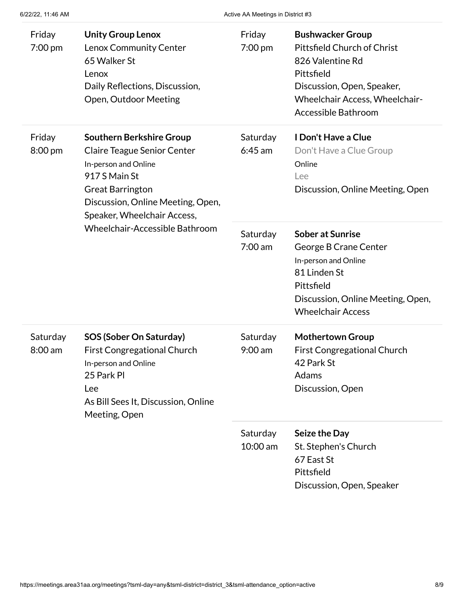| Friday<br>7:00 pm     | <b>Unity Group Lenox</b><br>Lenox Community Center<br>65 Walker St<br>Lenox<br>Daily Reflections, Discussion,<br>Open, Outdoor Meeting                                                                        | Friday<br>7:00 pm      | <b>Bushwacker Group</b><br>Pittsfield Church of Christ<br>826 Valentine Rd<br>Pittsfield<br>Discussion, Open, Speaker,<br>Wheelchair Access, Wheelchair-<br>Accessible Bathroom |
|-----------------------|---------------------------------------------------------------------------------------------------------------------------------------------------------------------------------------------------------------|------------------------|---------------------------------------------------------------------------------------------------------------------------------------------------------------------------------|
| Friday<br>8:00 pm     | <b>Southern Berkshire Group</b><br><b>Claire Teague Senior Center</b><br>In-person and Online<br>917 S Main St<br><b>Great Barrington</b><br>Discussion, Online Meeting, Open,<br>Speaker, Wheelchair Access, | Saturday<br>$6:45$ am  | I Don't Have a Clue<br>Don't Have a Clue Group<br>Online<br>Lee<br>Discussion, Online Meeting, Open                                                                             |
|                       | Wheelchair-Accessible Bathroom                                                                                                                                                                                | Saturday<br>$7:00$ am  | <b>Sober at Sunrise</b><br>George B Crane Center<br>In-person and Online<br>81 Linden St<br>Pittsfield<br>Discussion, Online Meeting, Open,<br><b>Wheelchair Access</b>         |
| Saturday<br>$8:00$ am | <b>SOS (Sober On Saturday)</b><br><b>First Congregational Church</b><br>In-person and Online<br>25 Park Pl<br>Lee<br>As Bill Sees It, Discussion, Online<br>Meeting, Open                                     | Saturday<br>$9:00$ am  | <b>Mothertown Group</b><br><b>First Congregational Church</b><br>42 Park St<br>Adams<br>Discussion, Open                                                                        |
|                       |                                                                                                                                                                                                               | Saturday<br>$10:00$ am | Seize the Day<br>St. Stephen's Church<br>67 East St<br>Pittsfield<br>Discussion, Open, Speaker                                                                                  |